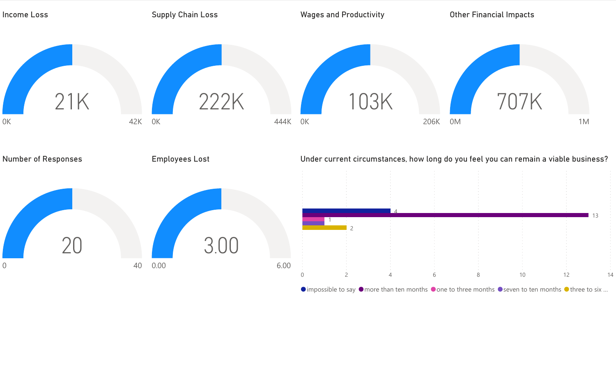

 $\bullet$  impossible to say  $\bullet$  more than ten months  $\bullet$  one to three months  $\bullet$  seven to ten months  $\bullet$  three to six ...